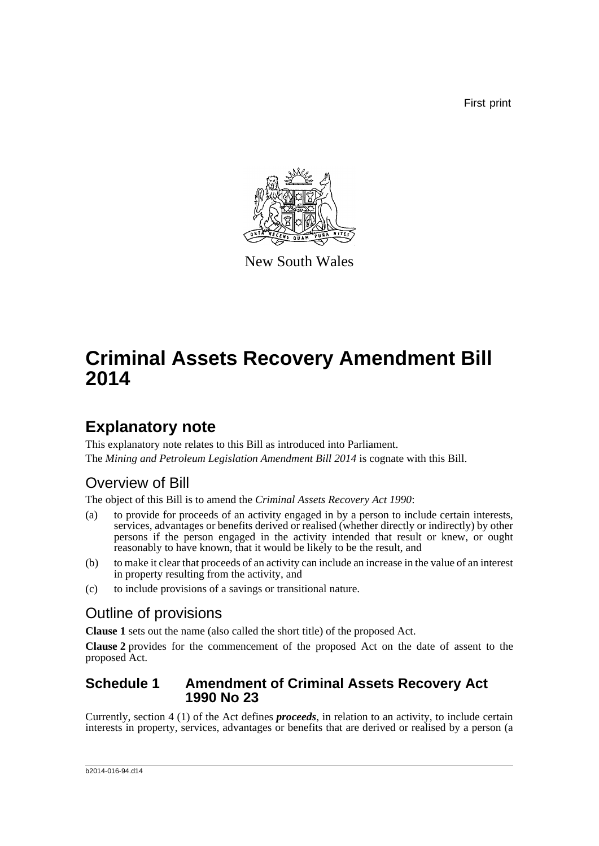First print



New South Wales

# **Criminal Assets Recovery Amendment Bill 2014**

### **Explanatory note**

This explanatory note relates to this Bill as introduced into Parliament. The *Mining and Petroleum Legislation Amendment Bill 2014* is cognate with this Bill.

### Overview of Bill

The object of this Bill is to amend the *Criminal Assets Recovery Act 1990*:

- (a) to provide for proceeds of an activity engaged in by a person to include certain interests, services, advantages or benefits derived or realised (whether directly or indirectly) by other persons if the person engaged in the activity intended that result or knew, or ought reasonably to have known, that it would be likely to be the result, and
- (b) to make it clear that proceeds of an activity can include an increase in the value of an interest in property resulting from the activity, and
- (c) to include provisions of a savings or transitional nature.

### Outline of provisions

**Clause 1** sets out the name (also called the short title) of the proposed Act.

**Clause 2** provides for the commencement of the proposed Act on the date of assent to the proposed Act.

#### **Schedule 1 Amendment of Criminal Assets Recovery Act 1990 No 23**

Currently, section 4 (1) of the Act defines *proceeds*, in relation to an activity, to include certain interests in property, services, advantages or benefits that are derived or realised by a person (a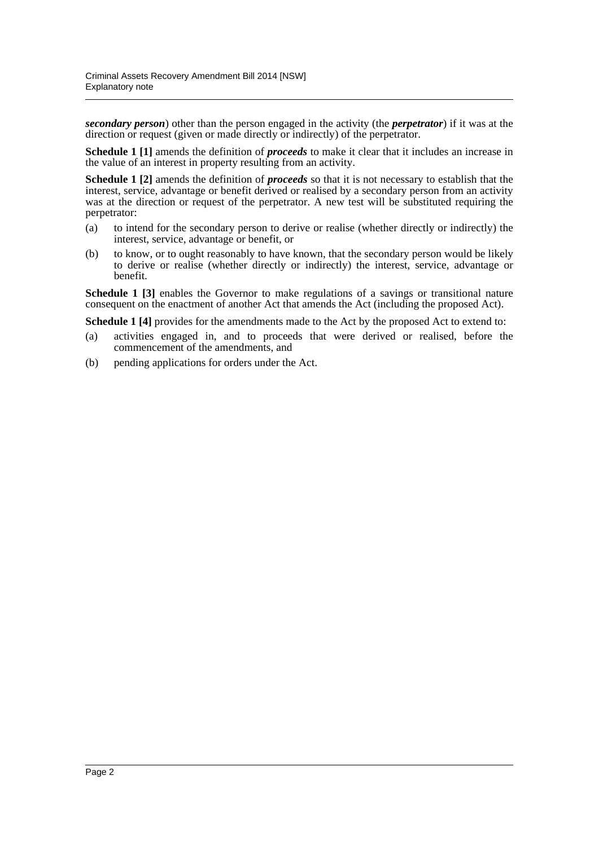*secondary person*) other than the person engaged in the activity (the *perpetrator*) if it was at the direction or request (given or made directly or indirectly) of the perpetrator.

**Schedule 1 [1]** amends the definition of *proceeds* to make it clear that it includes an increase in the value of an interest in property resulting from an activity.

**Schedule 1 [2]** amends the definition of *proceeds* so that it is not necessary to establish that the interest, service, advantage or benefit derived or realised by a secondary person from an activity was at the direction or request of the perpetrator. A new test will be substituted requiring the perpetrator:

- (a) to intend for the secondary person to derive or realise (whether directly or indirectly) the interest, service, advantage or benefit, or
- (b) to know, or to ought reasonably to have known, that the secondary person would be likely to derive or realise (whether directly or indirectly) the interest, service, advantage or benefit.

**Schedule 1 [3]** enables the Governor to make regulations of a savings or transitional nature consequent on the enactment of another Act that amends the Act (including the proposed Act).

**Schedule 1 [4]** provides for the amendments made to the Act by the proposed Act to extend to:

- (a) activities engaged in, and to proceeds that were derived or realised, before the commencement of the amendments, and
- (b) pending applications for orders under the Act.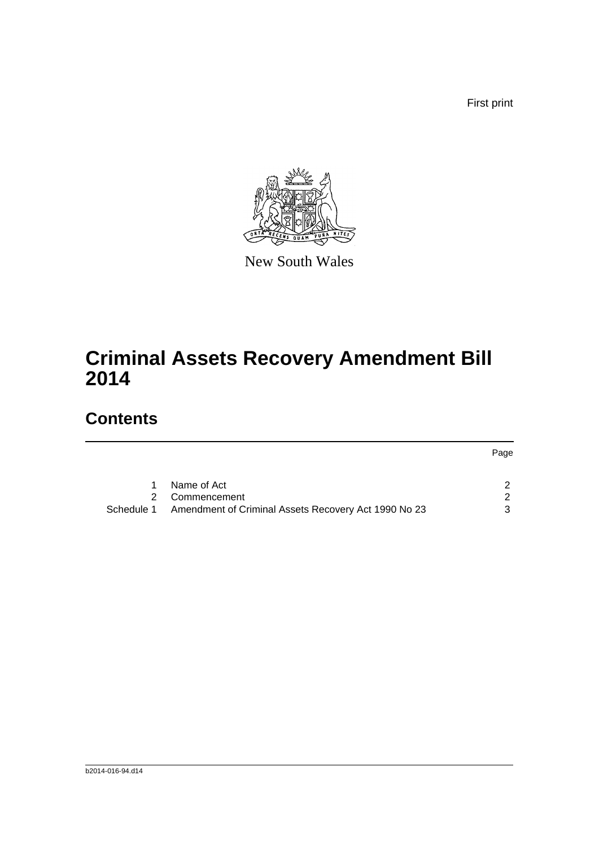First print

Page



New South Wales

# **Criminal Assets Recovery Amendment Bill 2014**

### **Contents**

|            | Name of Act                                          |   |
|------------|------------------------------------------------------|---|
|            | 2 Commencement                                       |   |
| Schedule 1 | Amendment of Criminal Assets Recovery Act 1990 No 23 | 3 |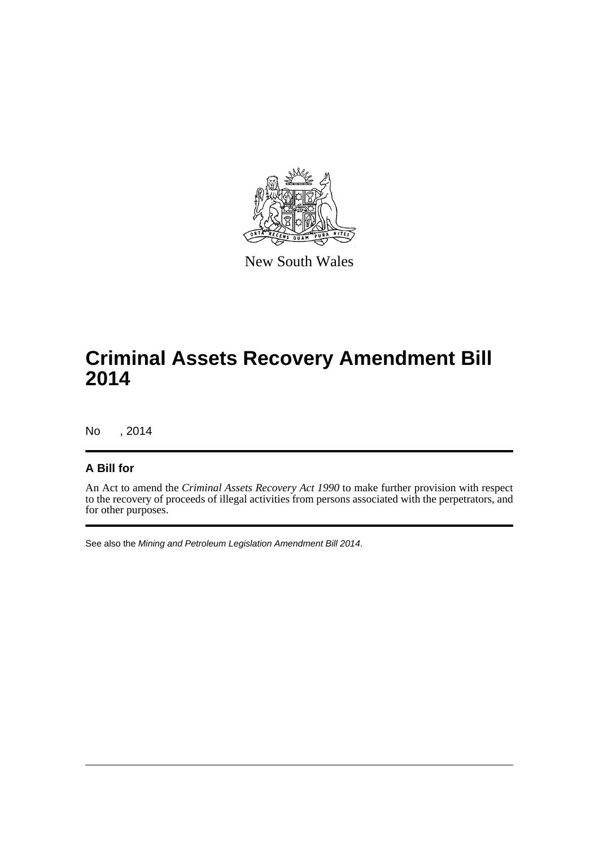

New South Wales

### **Criminal Assets Recovery Amendment Bill 2014**

No , 2014

#### **A Bill for**

An Act to amend the *Criminal Assets Recovery Act 1990* to make further provision with respect to the recovery of proceeds of illegal activities from persons associated with the perpetrators, and for other purposes.

See also the *Mining and Petroleum Legislation Amendment Bill 2014*.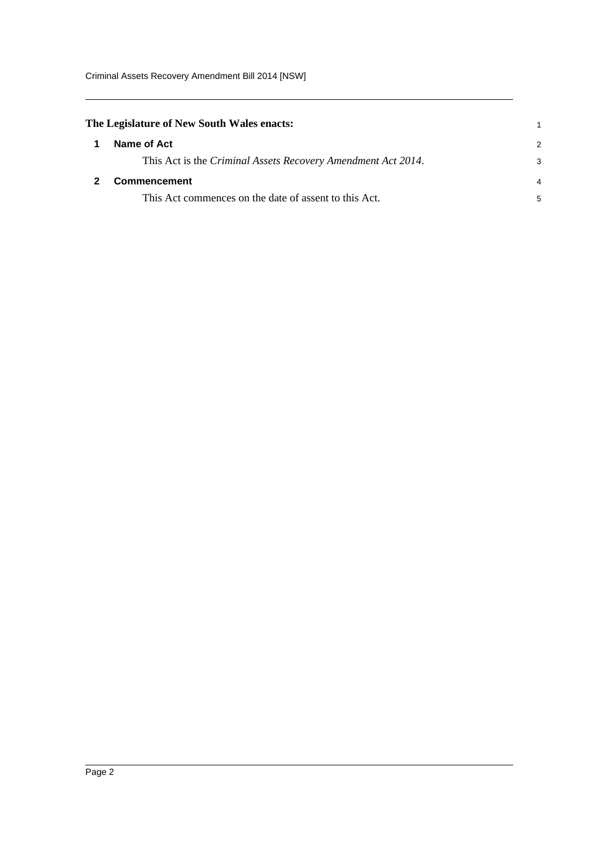<span id="page-4-1"></span><span id="page-4-0"></span>

| 2 |
|---|
| 3 |
| 4 |
| 5 |
|   |